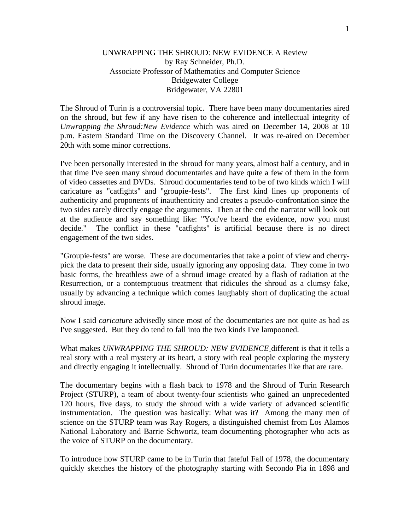## UNWRAPPING THE SHROUD: NEW EVIDENCE A Review by Ray Schneider, Ph.D. Associate Professor of Mathematics and Computer Science Bridgewater College Bridgewater, VA 22801

The Shroud of Turin is a controversial topic. There have been many documentaries aired on the shroud, but few if any have risen to the coherence and intellectual integrity of *Unwrapping the Shroud:New Evidence* which was aired on December 14, 2008 at 10 p.m. Eastern Standard Time on the Discovery Channel. It was re-aired on December 20th with some minor corrections.

I've been personally interested in the shroud for many years, almost half a century, and in that time I've seen many shroud documentaries and have quite a few of them in the form of video cassettes and DVDs. Shroud documentaries tend to be of two kinds which I will caricature as "catfights" and "groupie-fests". The first kind lines up proponents of authenticity and proponents of inauthenticity and creates a pseudo-confrontation since the two sides rarely directly engage the arguments. Then at the end the narrator will look out at the audience and say something like: "You've heard the evidence, now you must decide." The conflict in these "catfights" is artificial because there is no direct engagement of the two sides.

"Groupie-fests" are worse. These are documentaries that take a point of view and cherrypick the data to present their side, usually ignoring any opposing data. They come in two basic forms, the breathless awe of a shroud image created by a flash of radiation at the Resurrection, or a contemptuous treatment that ridicules the shroud as a clumsy fake, usually by advancing a technique which comes laughably short of duplicating the actual shroud image.

Now I said *caricature* advisedly since most of the documentaries are not quite as bad as I've suggested. But they do tend to fall into the two kinds I've lampooned.

What makes *UNWRAPPING THE SHROUD: NEW EVIDENCE* different is that it tells a real story with a real mystery at its heart, a story with real people exploring the mystery and directly engaging it intellectually. Shroud of Turin documentaries like that are rare.

The documentary begins with a flash back to 1978 and the Shroud of Turin Research Project (STURP), a team of about twenty-four scientists who gained an unprecedented 120 hours, five days, to study the shroud with a wide variety of advanced scientific instrumentation. The question was basically: What was it? Among the many men of science on the STURP team was Ray Rogers, a distinguished chemist from Los Alamos National Laboratory and Barrie Schwortz, team documenting photographer who acts as the voice of STURP on the documentary.

To introduce how STURP came to be in Turin that fateful Fall of 1978, the documentary quickly sketches the history of the photography starting with Secondo Pia in 1898 and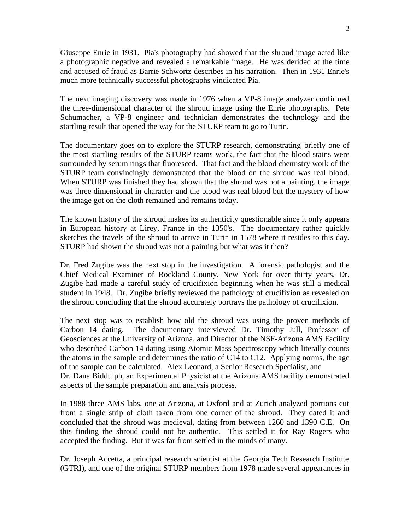Giuseppe Enrie in 1931. Pia's photography had showed that the shroud image acted like a photographic negative and revealed a remarkable image. He was derided at the time and accused of fraud as Barrie Schwortz describes in his narration. Then in 1931 Enrie's much more technically successful photographs vindicated Pia.

The next imaging discovery was made in 1976 when a VP-8 image analyzer confirmed the three-dimensional character of the shroud image using the Enrie photographs. Pete Schumacher, a VP-8 engineer and technician demonstrates the technology and the startling result that opened the way for the STURP team to go to Turin.

The documentary goes on to explore the STURP research, demonstrating briefly one of the most startling results of the STURP teams work, the fact that the blood stains were surrounded by serum rings that fluoresced. That fact and the blood chemistry work of the STURP team convincingly demonstrated that the blood on the shroud was real blood. When STURP was finished they had shown that the shroud was not a painting, the image was three dimensional in character and the blood was real blood but the mystery of how the image got on the cloth remained and remains today.

The known history of the shroud makes its authenticity questionable since it only appears in European history at Lirey, France in the 1350's. The documentary rather quickly sketches the travels of the shroud to arrive in Turin in 1578 where it resides to this day. STURP had shown the shroud was not a painting but what was it then?

Dr. Fred Zugibe was the next stop in the investigation. A forensic pathologist and the Chief Medical Examiner of Rockland County, New York for over thirty years, Dr. Zugibe had made a careful study of crucifixion beginning when he was still a medical student in 1948. Dr. Zugibe briefly reviewed the pathology of crucifixion as revealed on the shroud concluding that the shroud accurately portrays the pathology of crucifixion.

The next stop was to establish how old the shroud was using the proven methods of Carbon 14 dating. The documentary interviewed Dr. Timothy Jull, Professor of Geosciences at the University of Arizona, and Director of the NSF-Arizona AMS Facility who described Carbon 14 dating using Atomic Mass Spectroscopy which literally counts the atoms in the sample and determines the ratio of C14 to C12. Applying norms, the age of the sample can be calculated. Alex Leonard, a Senior Research Specialist, and Dr. Dana Biddulph, an Experimental Physicist at the Arizona AMS facility demonstrated aspects of the sample preparation and analysis process.

In 1988 three AMS labs, one at Arizona, at Oxford and at Zurich analyzed portions cut from a single strip of cloth taken from one corner of the shroud. They dated it and concluded that the shroud was medieval, dating from between 1260 and 1390 C.E. On this finding the shroud could not be authentic. This settled it for Ray Rogers who accepted the finding. But it was far from settled in the minds of many.

Dr. Joseph Accetta, a principal research scientist at the Georgia Tech Research Institute (GTRI), and one of the original STURP members from 1978 made several appearances in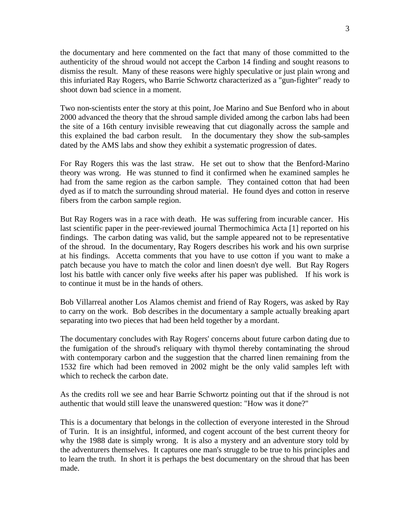the documentary and here commented on the fact that many of those committed to the authenticity of the shroud would not accept the Carbon 14 finding and sought reasons to dismiss the result. Many of these reasons were highly speculative or just plain wrong and this infuriated Ray Rogers, who Barrie Schwortz characterized as a "gun-fighter" ready to shoot down bad science in a moment.

Two non-scientists enter the story at this point, Joe Marino and Sue Benford who in about 2000 advanced the theory that the shroud sample divided among the carbon labs had been the site of a 16th century invisible reweaving that cut diagonally across the sample and this explained the bad carbon result. In the documentary they show the sub-samples dated by the AMS labs and show they exhibit a systematic progression of dates.

For Ray Rogers this was the last straw. He set out to show that the Benford-Marino theory was wrong. He was stunned to find it confirmed when he examined samples he had from the same region as the carbon sample. They contained cotton that had been dyed as if to match the surrounding shroud material. He found dyes and cotton in reserve fibers from the carbon sample region.

But Ray Rogers was in a race with death. He was suffering from incurable cancer. His last scientific paper in the peer-reviewed journal Thermochimica Acta [1] reported on his findings. The carbon dating was valid, but the sample appeared not to be representative of the shroud. In the documentary, Ray Rogers describes his work and his own surprise at his findings. Accetta comments that you have to use cotton if you want to make a patch because you have to match the color and linen doesn't dye well. But Ray Rogers lost his battle with cancer only five weeks after his paper was published. If his work is to continue it must be in the hands of others.

Bob Villarreal another Los Alamos chemist and friend of Ray Rogers, was asked by Ray to carry on the work. Bob describes in the documentary a sample actually breaking apart separating into two pieces that had been held together by a mordant.

The documentary concludes with Ray Rogers' concerns about future carbon dating due to the fumigation of the shroud's reliquary with thymol thereby contaminating the shroud with contemporary carbon and the suggestion that the charred linen remaining from the 1532 fire which had been removed in 2002 might be the only valid samples left with which to recheck the carbon date.

As the credits roll we see and hear Barrie Schwortz pointing out that if the shroud is not authentic that would still leave the unanswered question: "How was it done?"

This is a documentary that belongs in the collection of everyone interested in the Shroud of Turin. It is an insightful, informed, and cogent account of the best current theory for why the 1988 date is simply wrong. It is also a mystery and an adventure story told by the adventurers themselves. It captures one man's struggle to be true to his principles and to learn the truth. In short it is perhaps the best documentary on the shroud that has been made.